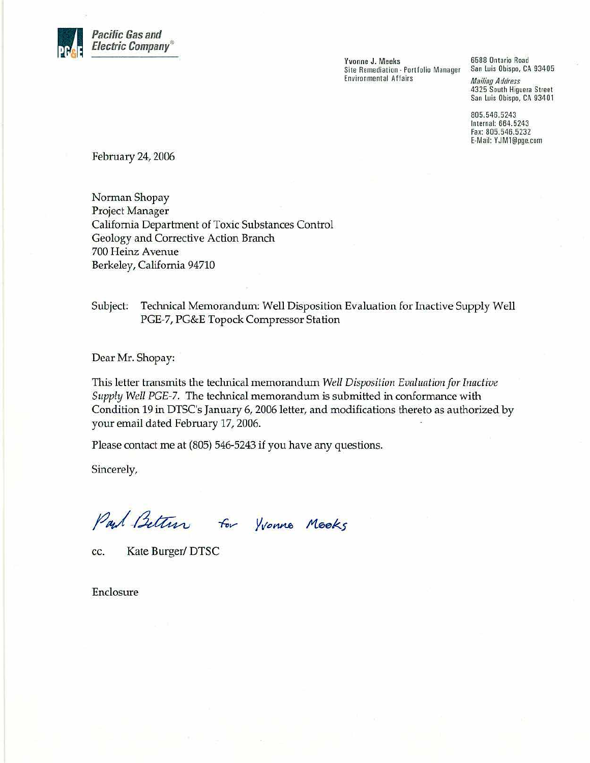

Yvonne J. Meeks Site Remediation - Portfolio Manager **Environmental Affairs** 

6588 Ontario Road San Luis Obispo, CA 93405

**Mailing Address** 4325 South Higuera Street San Luis Obispo, CA 93401

805.546.5243 Internal: 664.5243 Fax: 805.546.5232 E-Mail: YJM1@pge.com

February 24, 2006

Norman Shopay Project Manager California Department of Toxic Substances Control Geology and Corrective Action Branch 700 Heinz Avenue Berkeley, California 94710

#### Technical Memorandum: Well Disposition Evaluation for Inactive Supply Well Subject: PGE-7, PG&E Topock Compressor Station

Dear Mr. Shopay:

This letter transmits the technical memorandum Well Disposition Evaluation for Inactive Supply Well PGE-7. The technical memorandum is submitted in conformance with Condition 19 in DTSC's January 6, 2006 letter, and modifications thereto as authorized by your email dated February 17, 2006.

Please contact me at (805) 546-5243 if you have any questions.

Sincerely,

Paul Bettin for Yvonne Mooks

Kate Burger/DTSC cc.

Enclosure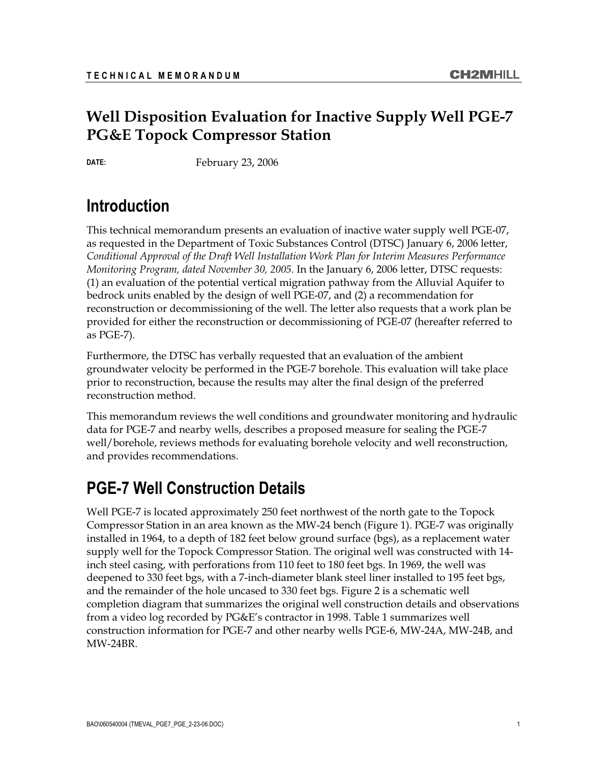# well Disposition Evaluation for Internet Con<sub>tra</sub>ry Well DD. **PG&E Topock Compressor Station**

**DATE:** February 23, 2006

### **Introduction**

This technical memorandum presents an evaluation of inactive water supply well PGE-07, as requested in the Department of Toxic Substances Control (DTSC) January 6, 2006 letter, *Conditional Approval of the Draft Well Installation Work Plan for Interim Measures Performance Monitoring Program, dated November 30, 2005*. In the January 6, 2006 letter, DTSC requests: (1) an evaluation of the potential vertical migration pathway from the Alluvial Aquifer to bedrock units enabled by the design of well PGE-07, and (2) a recommendation for reconstruction or decommissioning of the well. The letter also requests that a work plan be provided for either the reconstruction or decommissioning of PGE-07 (hereafter referred to as PGE-7).

Furthermore, the DTSC has verbally requested that an evaluation of the ambient groundwater velocity be performed in the PGE-7 borehole. This evaluation will take place prior to reconstruction, because the results may alter the final design of the preferred reconstruction method.

This memorandum reviews the well conditions and groundwater monitoring and hydraulic data for PGE-7 and nearby wells, describes a proposed measure for sealing the PGE-7 well/borehole, reviews methods for evaluating borehole velocity and well reconstruction, and provides recommendations.

### **PGE-7 Well Construction Details**

Well PGE-7 is located approximately 250 feet northwest of the north gate to the Topock Compressor Station in an area known as the MW-24 bench (Figure 1). PGE-7 was originally installed in 1964, to a depth of 182 feet below ground surface (bgs), as a replacement water supply well for the Topock Compressor Station. The original well was constructed with 14 inch steel casing, with perforations from 110 feet to 180 feet bgs. In 1969, the well was deepened to 330 feet bgs, with a 7-inch-diameter blank steel liner installed to 195 feet bgs, and the remainder of the hole uncased to 330 feet bgs. Figure 2 is a schematic well completion diagram that summarizes the original well construction details and observations from a video log recorded by PG&E's contractor in 1998. Table 1 summarizes well construction information for PGE-7 and other nearby wells PGE-6, MW-24A, MW-24B, and MW-24BR.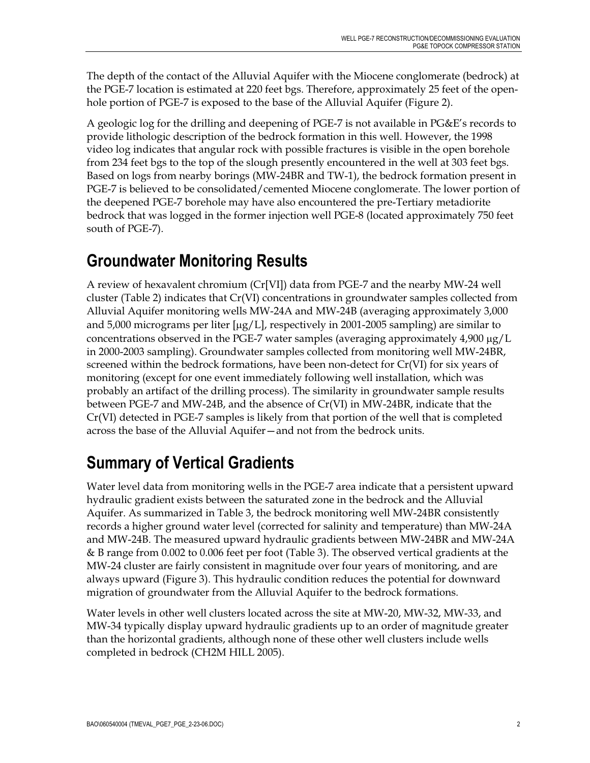The depth of the contact of the Alluvial Aquifer with the Miocene conglomerate (bedrock) at the PGE-7 location is estimated at 220 feet bgs. Therefore, approximately 25 feet of the openhole portion of PGE-7 is exposed to the base of the Alluvial Aquifer (Figure 2).

A geologic log for the drilling and deepening of PGE-7 is not available in PG&E's records to provide lithologic description of the bedrock formation in this well. However, the 1998 video log indicates that angular rock with possible fractures is visible in the open borehole from 234 feet bgs to the top of the slough presently encountered in the well at 303 feet bgs. Based on logs from nearby borings (MW-24BR and TW-1), the bedrock formation present in PGE-7 is believed to be consolidated/cemented Miocene conglomerate. The lower portion of the deepened PGE-7 borehole may have also encountered the pre-Tertiary metadiorite bedrock that was logged in the former injection well PGE-8 (located approximately 750 feet south of PGE-7).

## **Groundwater Monitoring Results**

A review of hexavalent chromium (Cr[VI]) data from PGE-7 and the nearby MW-24 well cluster (Table 2) indicates that Cr(VI) concentrations in groundwater samples collected from Alluvial Aquifer monitoring wells MW-24A and MW-24B (averaging approximately 3,000 and 5,000 micrograms per liter  $[\mu g/L]$ , respectively in 2001-2005 sampling) are similar to concentrations observed in the PGE-7 water samples (averaging approximately  $4,900 \,\mu g/L$ in 2000-2003 sampling). Groundwater samples collected from monitoring well MW-24BR, screened within the bedrock formations, have been non-detect for Cr(VI) for six years of monitoring (except for one event immediately following well installation, which was probably an artifact of the drilling process). The similarity in groundwater sample results between PGE-7 and MW-24B, and the absence of Cr(VI) in MW-24BR, indicate that the Cr(VI) detected in PGE-7 samples is likely from that portion of the well that is completed across the base of the Alluvial Aquifer—and not from the bedrock units.

## **Summary of Vertical Gradients**

Water level data from monitoring wells in the PGE-7 area indicate that a persistent upward hydraulic gradient exists between the saturated zone in the bedrock and the Alluvial Aquifer. As summarized in Table 3, the bedrock monitoring well MW-24BR consistently records a higher ground water level (corrected for salinity and temperature) than MW-24A and MW-24B. The measured upward hydraulic gradients between MW-24BR and MW-24A & B range from 0.002 to 0.006 feet per foot (Table 3). The observed vertical gradients at the MW-24 cluster are fairly consistent in magnitude over four years of monitoring, and are always upward (Figure 3). This hydraulic condition reduces the potential for downward migration of groundwater from the Alluvial Aquifer to the bedrock formations.

Water levels in other well clusters located across the site at MW-20, MW-32, MW-33, and MW-34 typically display upward hydraulic gradients up to an order of magnitude greater than the horizontal gradients, although none of these other well clusters include wells completed in bedrock (CH2M HILL 2005).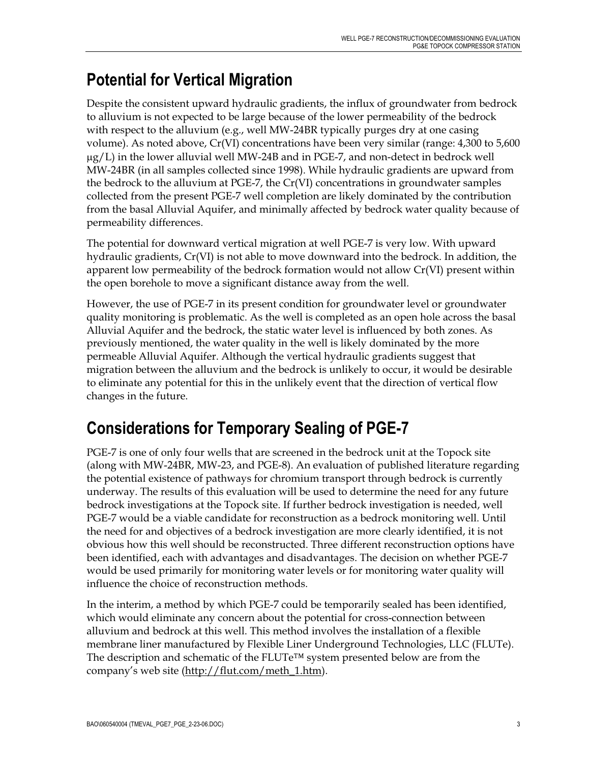## **Potential for Vertical Migration**

Despite the consistent upward hydraulic gradients, the influx of groundwater from bedrock to alluvium is not expected to be large because of the lower permeability of the bedrock with respect to the alluvium (e.g., well MW-24BR typically purges dry at one casing volume). As noted above, Cr(VI) concentrations have been very similar (range: 4,300 to 5,600  $\mu$ g/L) in the lower alluvial well MW-24B and in PGE-7, and non-detect in bedrock well MW-24BR (in all samples collected since 1998). While hydraulic gradients are upward from the bedrock to the alluvium at PGE-7, the Cr(VI) concentrations in groundwater samples collected from the present PGE-7 well completion are likely dominated by the contribution from the basal Alluvial Aquifer, and minimally affected by bedrock water quality because of permeability differences.

The potential for downward vertical migration at well PGE-7 is very low. With upward hydraulic gradients, Cr(VI) is not able to move downward into the bedrock. In addition, the apparent low permeability of the bedrock formation would not allow Cr(VI) present within the open borehole to move a significant distance away from the well.

However, the use of PGE-7 in its present condition for groundwater level or groundwater quality monitoring is problematic. As the well is completed as an open hole across the basal Alluvial Aquifer and the bedrock, the static water level is influenced by both zones. As previously mentioned, the water quality in the well is likely dominated by the more permeable Alluvial Aquifer. Although the vertical hydraulic gradients suggest that migration between the alluvium and the bedrock is unlikely to occur, it would be desirable to eliminate any potential for this in the unlikely event that the direction of vertical flow changes in the future.

## **Considerations for Temporary Sealing of PGE-7**

PGE-7 is one of only four wells that are screened in the bedrock unit at the Topock site (along with MW-24BR, MW-23, and PGE-8). An evaluation of published literature regarding the potential existence of pathways for chromium transport through bedrock is currently underway. The results of this evaluation will be used to determine the need for any future bedrock investigations at the Topock site. If further bedrock investigation is needed, well PGE-7 would be a viable candidate for reconstruction as a bedrock monitoring well. Until the need for and objectives of a bedrock investigation are more clearly identified, it is not obvious how this well should be reconstructed. Three different reconstruction options have been identified, each with advantages and disadvantages. The decision on whether PGE-7 would be used primarily for monitoring water levels or for monitoring water quality will influence the choice of reconstruction methods.

In the interim, a method by which PGE-7 could be temporarily sealed has been identified, which would eliminate any concern about the potential for cross-connection between alluvium and bedrock at this well. This method involves the installation of a flexible membrane liner manufactured by Flexible Liner Underground Technologies, LLC (FLUTe). The description and schematic of the FLUTe™ system presented below are from the company's web site (http://flut.com/meth\_1.htm).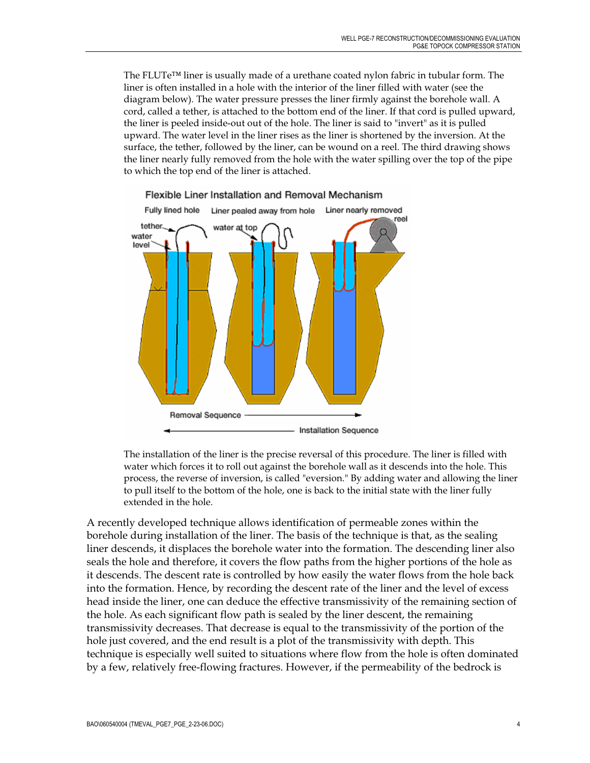The FLUTe™ liner is usually made of a urethane coated nylon fabric in tubular form. The liner is often installed in a hole with the interior of the liner filled with water (see the diagram below). The water pressure presses the liner firmly against the borehole wall. A cord, called a tether, is attached to the bottom end of the liner. If that cord is pulled upward, the liner is peeled inside-out out of the hole. The liner is said to "invert" as it is pulled upward. The water level in the liner rises as the liner is shortened by the inversion. At the surface, the tether, followed by the liner, can be wound on a reel. The third drawing shows the liner nearly fully removed from the hole with the water spilling over the top of the pipe to which the top end of the liner is attached.



Flexible Liner Installation and Removal Mechanism

The installation of the liner is the precise reversal of this procedure. The liner is filled with water which forces it to roll out against the borehole wall as it descends into the hole. This process, the reverse of inversion, is called "eversion." By adding water and allowing the liner to pull itself to the bottom of the hole, one is back to the initial state with the liner fully extended in the hole.

A recently developed technique allows identification of permeable zones within the borehole during installation of the liner. The basis of the technique is that, as the sealing liner descends, it displaces the borehole water into the formation. The descending liner also seals the hole and therefore, it covers the flow paths from the higher portions of the hole as it descends. The descent rate is controlled by how easily the water flows from the hole back into the formation. Hence, by recording the descent rate of the liner and the level of excess head inside the liner, one can deduce the effective transmissivity of the remaining section of the hole. As each significant flow path is sealed by the liner descent, the remaining transmissivity decreases. That decrease is equal to the transmissivity of the portion of the hole just covered, and the end result is a plot of the transmissivity with depth. This technique is especially well suited to situations where flow from the hole is often dominated by a few, relatively free-flowing fractures. However, if the permeability of the bedrock is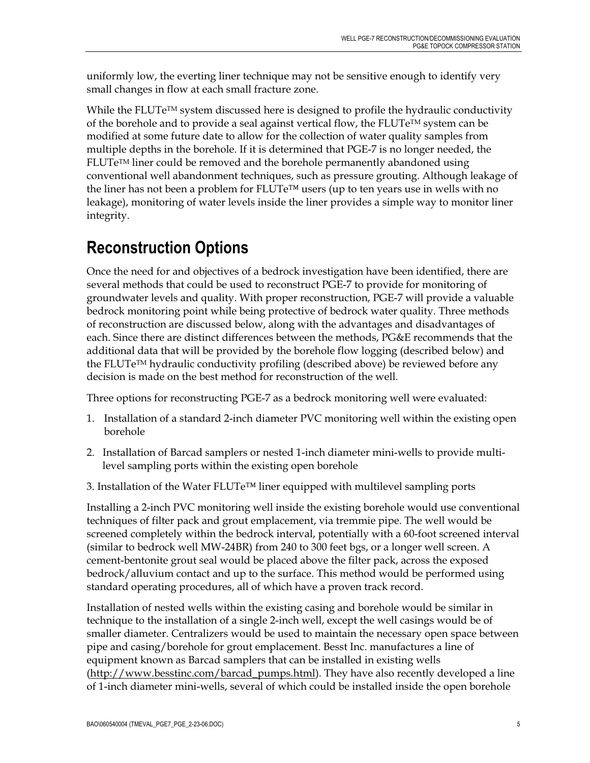uniformly low, the everting liner technique may not be sensitive enough to identify very small changes in flow at each small fracture zone.

While the FLUTe<sup> $TM$ </sup> system discussed here is designed to profile the hydraulic conductivity of the borehole and to provide a seal against vertical flow, the  $FLUTe^{TM}$  system can be modified at some future date to allow for the collection of water quality samples from multiple depths in the borehole. If it is determined that PGE-7 is no longer needed, the  $FLUTe<sup>TM</sup>$  liner could be removed and the borehole permanently abandoned using conventional well abandonment techniques, such as pressure grouting. Although leakage of the liner has not been a problem for  $FLUTe^{TM}$  users (up to ten years use in wells with no leakage), monitoring of water levels inside the liner provides a simple way to monitor liner integrity.

## **Reconstruction Options**

Once the need for and objectives of a bedrock investigation have been identified, there are several methods that could be used to reconstruct PGE-7 to provide for monitoring of groundwater levels and quality. With proper reconstruction, PGE-7 will provide a valuable bedrock monitoring point while being protective of bedrock water quality. Three methods of reconstruction are discussed below, along with the advantages and disadvantages of each. Since there are distinct differences between the methods, PG&E recommends that the additional data that will be provided by the borehole flow logging (described below) and the FLUTeTM hydraulic conductivity profiling (described above) be reviewed before any decision is made on the best method for reconstruction of the well.

Three options for reconstructing PGE-7 as a bedrock monitoring well were evaluated:

- 1. Installation of a standard 2-inch diameter PVC monitoring well within the existing open borehole
- 2. Installation of Barcad samplers or nested 1-inch diameter mini-wells to provide multilevel sampling ports within the existing open borehole
- 3. Installation of the Water FLUTe™ liner equipped with multilevel sampling ports

Installing a 2-inch PVC monitoring well inside the existing borehole would use conventional techniques of filter pack and grout emplacement, via tremmie pipe. The well would be screened completely within the bedrock interval, potentially with a 60-foot screened interval (similar to bedrock well MW-24BR) from 240 to 300 feet bgs, or a longer well screen. A cement-bentonite grout seal would be placed above the filter pack, across the exposed bedrock/alluvium contact and up to the surface. This method would be performed using standard operating procedures, all of which have a proven track record.

Installation of nested wells within the existing casing and borehole would be similar in technique to the installation of a single 2-inch well, except the well casings would be of smaller diameter. Centralizers would be used to maintain the necessary open space between pipe and casing/borehole for grout emplacement. Besst Inc. manufactures a line of equipment known as Barcad samplers that can be installed in existing wells (http://www.besstinc.com/barcad\_pumps.html). They have also recently developed a line of 1-inch diameter mini-wells, several of which could be installed inside the open borehole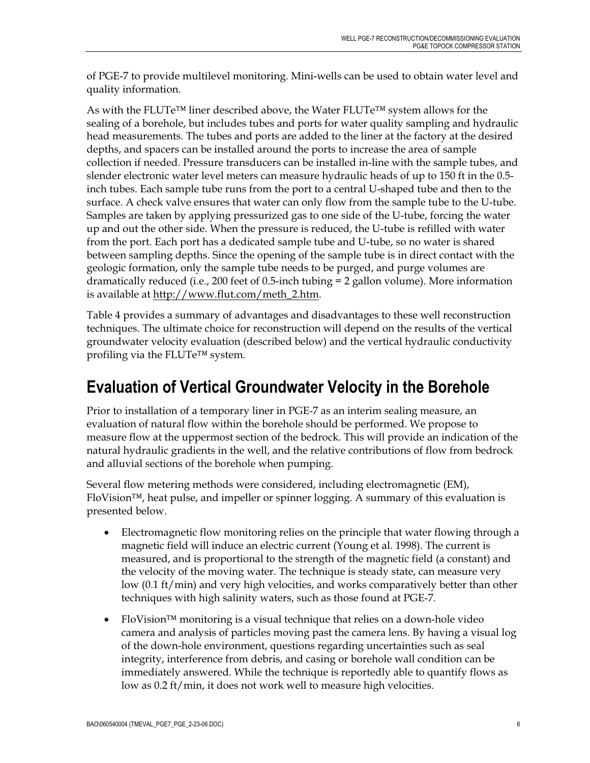of PGE-7 to provide multilevel monitoring. Mini-wells can be used to obtain water level and quality information.

As with the FLUTe™ liner described above, the Water FLUTe™ system allows for the sealing of a borehole, but includes tubes and ports for water quality sampling and hydraulic head measurements. The tubes and ports are added to the liner at the factory at the desired depths, and spacers can be installed around the ports to increase the area of sample collection if needed. Pressure transducers can be installed in-line with the sample tubes, and slender electronic water level meters can measure hydraulic heads of up to 150 ft in the 0.5 inch tubes. Each sample tube runs from the port to a central U-shaped tube and then to the surface. A check valve ensures that water can only flow from the sample tube to the U-tube. Samples are taken by applying pressurized gas to one side of the U-tube, forcing the water up and out the other side. When the pressure is reduced, the U-tube is refilled with water from the port. Each port has a dedicated sample tube and U-tube, so no water is shared between sampling depths. Since the opening of the sample tube is in direct contact with the geologic formation, only the sample tube needs to be purged, and purge volumes are dramatically reduced (i.e., 200 feet of 0.5-inch tubing = 2 gallon volume). More information is available at http://www.flut.com/meth\_2.htm.

Table 4 provides a summary of advantages and disadvantages to these well reconstruction techniques. The ultimate choice for reconstruction will depend on the results of the vertical groundwater velocity evaluation (described below) and the vertical hydraulic conductivity profiling via the FLUTe™ system.

### **Evaluation of Vertical Groundwater Velocity in the Borehole**

Prior to installation of a temporary liner in PGE-7 as an interim sealing measure, an evaluation of natural flow within the borehole should be performed. We propose to measure flow at the uppermost section of the bedrock. This will provide an indication of the natural hydraulic gradients in the well, and the relative contributions of flow from bedrock and alluvial sections of the borehole when pumping.

Several flow metering methods were considered, including electromagnetic (EM), FloVision™, heat pulse, and impeller or spinner logging. A summary of this evaluation is presented below.

- Electromagnetic flow monitoring relies on the principle that water flowing through a magnetic field will induce an electric current (Young et al. 1998). The current is measured, and is proportional to the strength of the magnetic field (a constant) and the velocity of the moving water. The technique is steady state, can measure very low (0.1 ft/min) and very high velocities, and works comparatively better than other techniques with high salinity waters, such as those found at PGE-7.
- FloVision<sup>™</sup> monitoring is a visual technique that relies on a down-hole video camera and analysis of particles moving past the camera lens. By having a visual log of the down-hole environment, questions regarding uncertainties such as seal integrity, interference from debris, and casing or borehole wall condition can be immediately answered. While the technique is reportedly able to quantify flows as low as 0.2 ft/min, it does not work well to measure high velocities.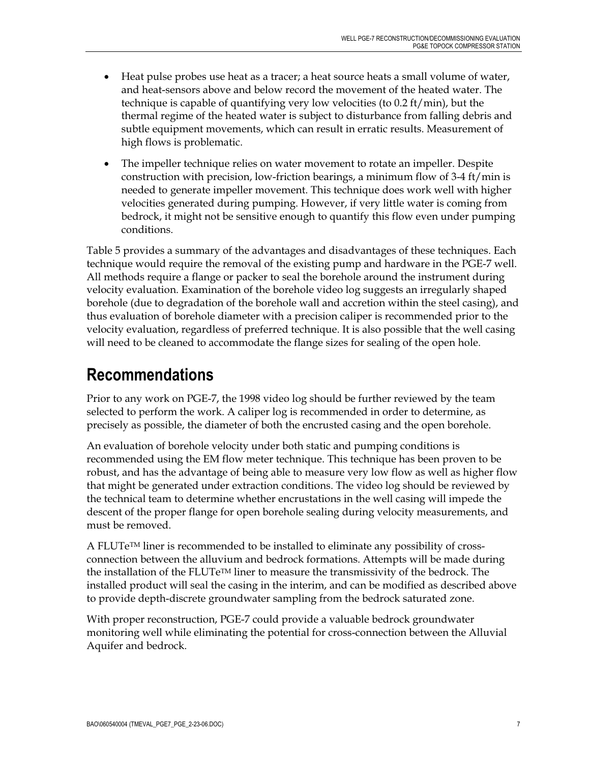- Heat pulse probes use heat as a tracer; a heat source heats a small volume of water, and heat-sensors above and below record the movement of the heated water. The technique is capable of quantifying very low velocities (to 0.2 ft/min), but the thermal regime of the heated water is subject to disturbance from falling debris and subtle equipment movements, which can result in erratic results. Measurement of high flows is problematic.
- The impeller technique relies on water movement to rotate an impeller. Despite construction with precision, low-friction bearings, a minimum flow of 3-4 ft/min is needed to generate impeller movement. This technique does work well with higher velocities generated during pumping. However, if very little water is coming from bedrock, it might not be sensitive enough to quantify this flow even under pumping conditions.

Table 5 provides a summary of the advantages and disadvantages of these techniques. Each technique would require the removal of the existing pump and hardware in the PGE-7 well. All methods require a flange or packer to seal the borehole around the instrument during velocity evaluation. Examination of the borehole video log suggests an irregularly shaped borehole (due to degradation of the borehole wall and accretion within the steel casing), and thus evaluation of borehole diameter with a precision caliper is recommended prior to the velocity evaluation, regardless of preferred technique. It is also possible that the well casing will need to be cleaned to accommodate the flange sizes for sealing of the open hole.

### **Recommendations**

Prior to any work on PGE-7, the 1998 video log should be further reviewed by the team selected to perform the work. A caliper log is recommended in order to determine, as precisely as possible, the diameter of both the encrusted casing and the open borehole.

An evaluation of borehole velocity under both static and pumping conditions is recommended using the EM flow meter technique. This technique has been proven to be robust, and has the advantage of being able to measure very low flow as well as higher flow that might be generated under extraction conditions. The video log should be reviewed by the technical team to determine whether encrustations in the well casing will impede the descent of the proper flange for open borehole sealing during velocity measurements, and must be removed.

A FLUTeTM liner is recommended to be installed to eliminate any possibility of crossconnection between the alluvium and bedrock formations. Attempts will be made during the installation of the FLUTe<sup>TM</sup> liner to measure the transmissivity of the bedrock. The installed product will seal the casing in the interim, and can be modified as described above to provide depth-discrete groundwater sampling from the bedrock saturated zone.

With proper reconstruction, PGE-7 could provide a valuable bedrock groundwater monitoring well while eliminating the potential for cross-connection between the Alluvial Aquifer and bedrock.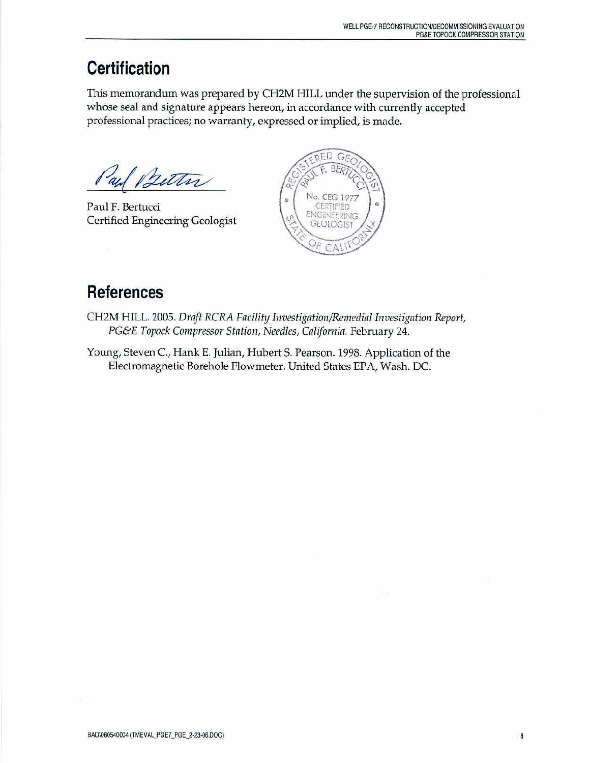## **Certification**

This memorandum was prepared by CH2M HILL under the supervision of the professional whose seal and signature appears hereon, in accordance with currently accepted professional practices; no warranty, expressed or implied, is made.

Better au

Paul F. Bertucci Certified Engineering Geologist



### **References**

- CH2M HILL. 2005. Draft RCRA Facility Investigation/Remedial Investigation Report, PG&E Topock Compressor Station, Needles, California. February 24.
- Young, Steven C., Hank E. Julian, Hubert S. Pearson. 1998. Application of the Electromagnetic Borehole Flowmeter. United States EPA, Wash. DC.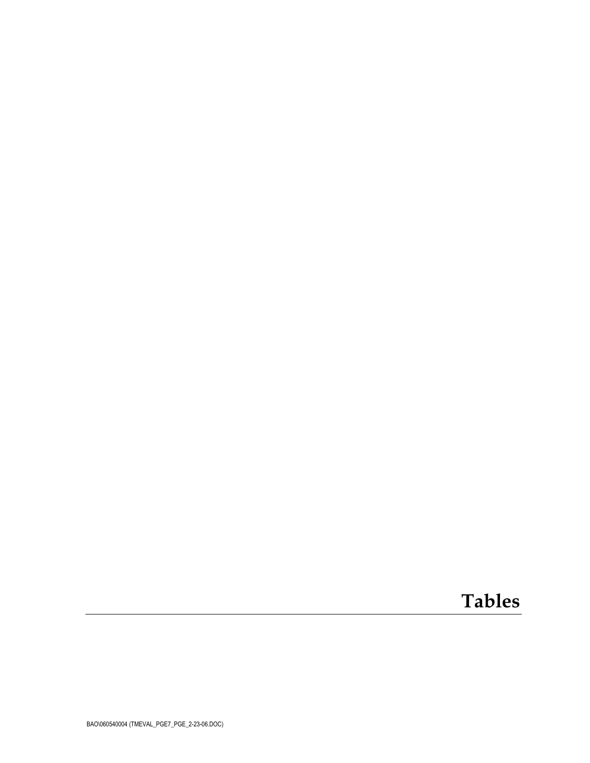# **Tables**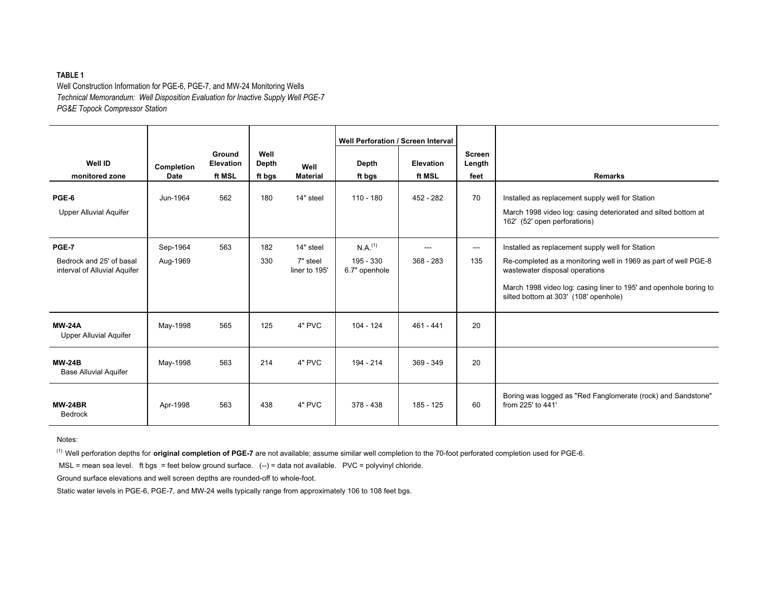#### **TABLE 1**

Well Construction Information for PGE-6, PGE-7, and MW-24 Monitoring Wells *Technical Memorandum: Well Disposition Evaluation for Inactive Supply Well PGE-7 PG&E Topock Compressor Station*

| <b>Well ID</b>                                                           | Completion           | Ground<br><b>Elevation</b> | Well<br>Depth | Well                                   | <b>Well Perforation / Screen Interval</b><br>Depth  | <b>Elevation</b>     | <b>Screen</b><br>Length |                                                                                                                                                                                                                                                                     |
|--------------------------------------------------------------------------|----------------------|----------------------------|---------------|----------------------------------------|-----------------------------------------------------|----------------------|-------------------------|---------------------------------------------------------------------------------------------------------------------------------------------------------------------------------------------------------------------------------------------------------------------|
| monitored zone                                                           | <b>Date</b>          | ft MSL                     | ft bgs        | <b>Material</b>                        | ft bgs                                              | ft MSL               | feet                    | <b>Remarks</b>                                                                                                                                                                                                                                                      |
| PGE-6<br><b>Upper Alluvial Aquifer</b>                                   | Jun-1964             | 562                        | 180           | 14" steel                              | $110 - 180$                                         | 452 - 282            | 70                      | Installed as replacement supply well for Station<br>March 1998 video log: casing deteriorated and silted bottom at<br>162' (52' open perforations)                                                                                                                  |
| <b>PGE-7</b><br>Bedrock and 25' of basal<br>interval of Alluvial Aquifer | Sep-1964<br>Aug-1969 | 563                        | 182<br>330    | 14" steel<br>7" steel<br>liner to 195' | $N.A.$ <sup>(1)</sup><br>195 - 330<br>6.7" openhole | $---$<br>$368 - 283$ | $---$<br>135            | Installed as replacement supply well for Station<br>Re-completed as a monitoring well in 1969 as part of well PGE-8<br>wastewater disposal operations<br>March 1998 video log: casing liner to 195' and openhole boring to<br>silted bottom at 303' (108' openhole) |
| <b>MW-24A</b><br><b>Upper Alluvial Aquifer</b>                           | May-1998             | 565                        | 125           | 4" PVC                                 | $104 - 124$                                         | $461 - 441$          | 20                      |                                                                                                                                                                                                                                                                     |
| <b>MW-24B</b><br><b>Base Alluvial Aquifer</b>                            | May-1998             | 563                        | 214           | 4" PVC                                 | 194 - 214                                           | 369 - 349            | 20                      |                                                                                                                                                                                                                                                                     |
| <b>MW-24BR</b><br>Bedrock                                                | Apr-1998             | 563                        | 438           | 4" PVC                                 | $378 - 438$                                         | 185 - 125            | 60                      | Boring was logged as "Red Fanglomerate (rock) and Sandstone"<br>from 225' to 441'                                                                                                                                                                                   |

Notes:

(1) Well perforation depths for **original completion of PGE-7** are not available; assume similar well completion to the 70-foot perforated completion used for PGE-6.

MSL = mean sea level. ft bgs = feet below ground surface. (--) = data not available. PVC = polyvinyl chloride.

Ground surface elevations and well screen depths are rounded-off to whole-foot.

Static water levels in PGE-6, PGE-7, and MW-24 wells typically range from approximately 106 to 108 feet bgs.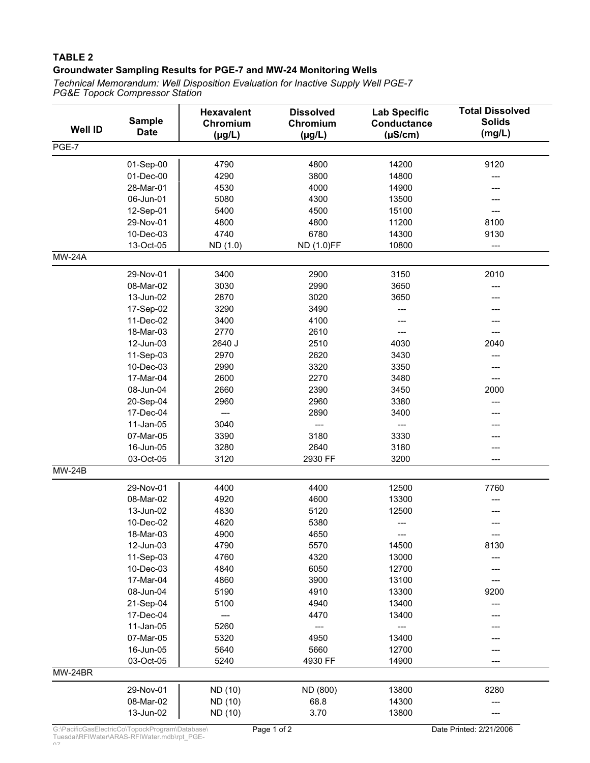#### **TABLE 2 Groundwater Sampling Results for PGE-7 and MW-24 Monitoring Wells**

*PG&E Topock Compressor Station Technical Memorandum: Well Disposition Evaluation for Inactive Supply Well PGE-7*

| <b>Well ID</b> | <b>Sample</b><br><b>Date</b> | <b>Hexavalent</b><br>Chromium<br>$(\mu g/L)$ | <b>Dissolved</b><br>Chromium<br>$(\mu g/L)$ | <b>Lab Specific</b><br><b>Conductance</b><br>$(\mu S/cm)$ | <b>Total Dissolved</b><br><b>Solids</b><br>(mg/L) |
|----------------|------------------------------|----------------------------------------------|---------------------------------------------|-----------------------------------------------------------|---------------------------------------------------|
| PGE-7          |                              |                                              |                                             |                                                           |                                                   |
|                | 01-Sep-00                    | 4790                                         | 4800                                        | 14200                                                     | 9120                                              |
|                | 01-Dec-00                    | 4290                                         | 3800                                        | 14800                                                     | ---                                               |
|                | 28-Mar-01                    | 4530                                         | 4000                                        | 14900                                                     |                                                   |
|                | 06-Jun-01                    | 5080                                         | 4300                                        | 13500                                                     |                                                   |
|                | 12-Sep-01                    | 5400                                         | 4500                                        | 15100                                                     |                                                   |
|                | 29-Nov-01                    | 4800                                         | 4800                                        | 11200                                                     | 8100                                              |
|                | 10-Dec-03                    | 4740                                         | 6780                                        | 14300                                                     | 9130                                              |
|                | 13-Oct-05                    | ND (1.0)                                     | ND (1.0)FF                                  | 10800                                                     | ---                                               |
| <b>MW-24A</b>  |                              |                                              |                                             |                                                           |                                                   |
|                | 29-Nov-01                    | 3400                                         | 2900                                        | 3150                                                      | 2010                                              |
|                | 08-Mar-02                    | 3030                                         | 2990                                        | 3650                                                      | ---                                               |
|                | 13-Jun-02                    | 2870                                         | 3020                                        | 3650                                                      |                                                   |
|                | 17-Sep-02                    | 3290                                         | 3490                                        | ---                                                       |                                                   |
|                | 11-Dec-02                    | 3400                                         | 4100                                        |                                                           |                                                   |
|                | 18-Mar-03                    | 2770                                         | 2610                                        | ---                                                       | ---                                               |
|                | 12-Jun-03                    | 2640 J                                       | 2510                                        | 4030                                                      | 2040                                              |
|                | 11-Sep-03                    | 2970                                         | 2620                                        | 3430                                                      | ---                                               |
|                | 10-Dec-03                    | 2990                                         | 3320                                        | 3350                                                      |                                                   |
|                | 17-Mar-04                    | 2600                                         | 2270                                        | 3480                                                      | $---$                                             |
|                | 08-Jun-04                    | 2660                                         | 2390                                        | 3450                                                      | 2000                                              |
|                | 20-Sep-04                    | 2960                                         | 2960                                        | 3380                                                      | ---                                               |
|                | 17-Dec-04                    | $---$                                        | 2890                                        | 3400                                                      |                                                   |
|                | 11-Jan-05                    | 3040                                         | ---                                         | $\overline{\phantom{a}}$                                  |                                                   |
|                | 07-Mar-05                    | 3390                                         | 3180                                        | 3330                                                      |                                                   |
|                | 16-Jun-05                    | 3280                                         | 2640                                        | 3180                                                      | ---                                               |
|                | 03-Oct-05                    | 3120                                         | 2930 FF                                     | 3200                                                      | ---                                               |
| <b>MW-24B</b>  |                              |                                              |                                             |                                                           |                                                   |
|                | 29-Nov-01                    | 4400                                         | 4400                                        | 12500                                                     | 7760                                              |
|                | 08-Mar-02                    | 4920                                         | 4600                                        | 13300                                                     |                                                   |
|                | 13-Jun-02                    | 4830                                         | 5120                                        | 12500                                                     |                                                   |
|                | 10-Dec-02                    | 4620                                         | 5380                                        | ---                                                       |                                                   |
|                | 18-Mar-03                    | 4900                                         | 4650                                        | ---                                                       |                                                   |
|                | 12-Jun-03                    | 4790                                         | 5570                                        | 14500                                                     | 8130                                              |
|                | 11-Sep-03                    | 4760                                         | 4320                                        | 13000                                                     |                                                   |
|                | 10-Dec-03                    | 4840                                         | 6050                                        | 12700                                                     |                                                   |
|                | 17-Mar-04                    | 4860                                         | 3900                                        | 13100                                                     |                                                   |
|                | 08-Jun-04                    | 5190                                         | 4910                                        | 13300                                                     | 9200                                              |
|                | 21-Sep-04                    | 5100                                         | 4940                                        | 13400                                                     |                                                   |
|                | 17-Dec-04                    | ---                                          | 4470                                        | 13400                                                     |                                                   |
|                | 11-Jan-05                    | 5260                                         | ---                                         | ---                                                       |                                                   |
|                | 07-Mar-05                    | 5320                                         | 4950                                        | 13400                                                     |                                                   |
|                | 16-Jun-05                    | 5640                                         | 5660                                        | 12700                                                     |                                                   |
|                | 03-Oct-05                    | 5240                                         | 4930 FF                                     | 14900                                                     | ---                                               |
| MW-24BR        |                              |                                              |                                             |                                                           |                                                   |
|                | 29-Nov-01                    | ND (10)                                      | ND (800)                                    | 13800                                                     | 8280                                              |
|                | 08-Mar-02                    | ND (10)                                      | 68.8                                        | 14300                                                     |                                                   |
|                | 13-Jun-02                    | ND (10)                                      | 3.70                                        | 13800                                                     |                                                   |

07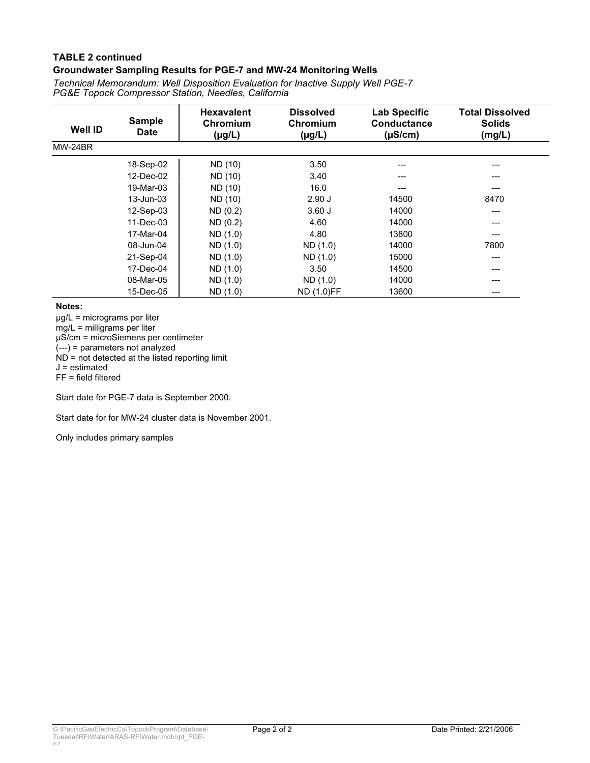#### **TABLE 2 continued Groundwater Sampling Results for PGE-7 and MW-24 Monitoring Wells**

*PG&E Topock Compressor Station, Needles, California Technical Memorandum: Well Disposition Evaluation for Inactive Supply Well PGE-7*

| <b>Well ID</b> | <b>Sample</b><br><b>Date</b> | <b>Hexavalent</b><br>Chromium<br>$(\mu g/L)$ | <b>Dissolved</b><br>Chromium<br>$(\mu g/L)$ | <b>Lab Specific</b><br>Conductance<br>$(\mu S/cm)$ | <b>Total Dissolved</b><br><b>Solids</b><br>(mg/L) |
|----------------|------------------------------|----------------------------------------------|---------------------------------------------|----------------------------------------------------|---------------------------------------------------|
| MW-24BR        |                              |                                              |                                             |                                                    |                                                   |
|                | 18-Sep-02                    | ND (10)                                      | 3.50                                        | ---                                                | ---                                               |
|                | 12-Dec-02                    | ND (10)                                      | 3.40                                        | ---                                                | ---                                               |
|                | 19-Mar-03                    | ND (10)                                      | 16.0                                        | ---                                                | ---                                               |
|                | 13-Jun-03                    | ND (10)                                      | 2.90J                                       | 14500                                              | 8470                                              |
|                | 12-Sep-03                    | ND(0.2)                                      | $3.60$ J                                    | 14000                                              | ---                                               |
|                | 11-Dec-03                    | ND(0.2)                                      | 4.60                                        | 14000                                              | ---                                               |
|                | 17-Mar-04                    | ND (1.0)                                     | 4.80                                        | 13800                                              | ---                                               |
|                | 08-Jun-04                    | ND (1.0)                                     | ND (1.0)                                    | 14000                                              | 7800                                              |
|                | 21-Sep-04                    | ND (1.0)                                     | ND (1.0)                                    | 15000                                              | ---                                               |
|                | 17-Dec-04                    | ND (1.0)                                     | 3.50                                        | 14500                                              | ---                                               |
|                | 08-Mar-05                    | ND (1.0)                                     | ND (1.0)                                    | 14000                                              | ---                                               |
|                | 15-Dec-05                    | ND (1.0)                                     | <b>ND (1.0)FF</b>                           | 13600                                              | ---                                               |

**Notes:**

µg/L = micrograms per liter mg/L = milligrams per liter µS/cm = microSiemens per centimeter (---) = parameters not analyzed  $ND = not detected at the listed reporting limit$ J = estimated FF = field filtered

Start date for PGE-7 data is September 2000.

Start date for for MW-24 cluster data is November 2001.

Only includes primary samples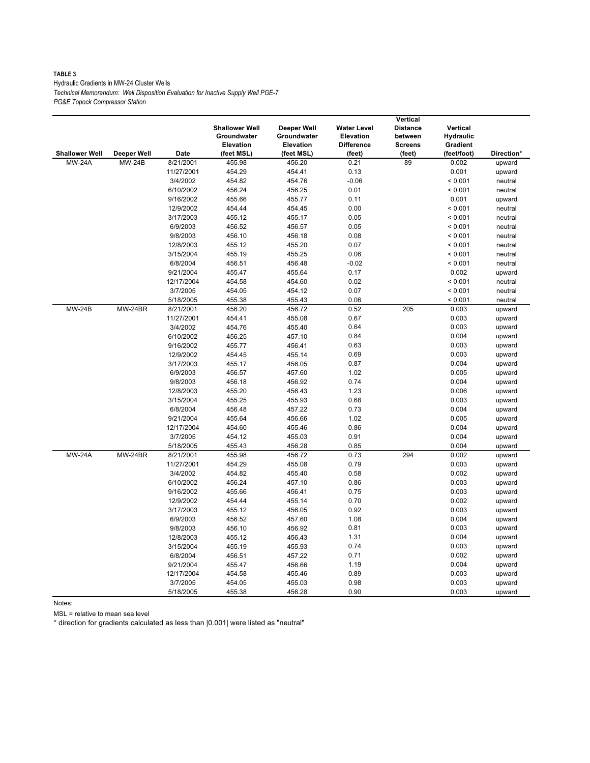#### **TABLE 3** Hydraulic Gradients in MW-24 Cluster Wells *Technical Memorandum: Well Disposition Evaluation for Inactive Supply Well PGE-7 PG&E Topock Compressor Station*

|                       |                |            |                       |             |                    | Vertical        |                  |            |
|-----------------------|----------------|------------|-----------------------|-------------|--------------------|-----------------|------------------|------------|
|                       |                |            | <b>Shallower Well</b> | Deeper Well | <b>Water Level</b> | <b>Distance</b> | Vertical         |            |
|                       |                |            | Groundwater           | Groundwater | <b>Elevation</b>   | between         | <b>Hydraulic</b> |            |
|                       |                |            | <b>Elevation</b>      | Elevation   | <b>Difference</b>  | <b>Screens</b>  | Gradient         |            |
| <b>Shallower Well</b> | Deeper Well    | Date       | (feet MSL)            | (feet MSL)  | (feet)             | (feet)          | (feet/foot)      | Direction* |
| <b>MW-24A</b>         | <b>MW-24B</b>  | 8/21/2001  | 455.98                | 456.20      | 0.21               | 89              | 0.002            | upward     |
|                       |                | 11/27/2001 | 454.29                | 454.41      | 0.13               |                 | 0.001            | upward     |
|                       |                | 3/4/2002   | 454.82                | 454.76      | $-0.06$            |                 | < 0.001          | neutral    |
|                       |                | 6/10/2002  | 456.24                | 456.25      | 0.01               |                 | < 0.001          | neutral    |
|                       |                | 9/16/2002  | 455.66                | 455.77      | 0.11               |                 | 0.001            | upward     |
|                       |                | 12/9/2002  | 454.44                | 454.45      | 0.00               |                 | < 0.001          | neutral    |
|                       |                | 3/17/2003  | 455.12                | 455.17      | 0.05               |                 | < 0.001          | neutral    |
|                       |                | 6/9/2003   | 456.52                | 456.57      | 0.05               |                 | < 0.001          | neutral    |
|                       |                | 9/8/2003   | 456.10                | 456.18      | 0.08               |                 | < 0.001          | neutral    |
|                       |                | 12/8/2003  | 455.12                | 455.20      | 0.07               |                 | < 0.001          | neutral    |
|                       |                | 3/15/2004  | 455.19                | 455.25      | 0.06               |                 | < 0.001          | neutral    |
|                       |                | 6/8/2004   | 456.51                | 456.48      | $-0.02$            |                 | < 0.001          | neutral    |
|                       |                | 9/21/2004  | 455.47                | 455.64      | 0.17               |                 | 0.002            | upward     |
|                       |                | 12/17/2004 | 454.58                | 454.60      | 0.02               |                 | < 0.001          | neutral    |
|                       |                | 3/7/2005   | 454.05                | 454.12      | 0.07               |                 | < 0.001          | neutral    |
|                       |                | 5/18/2005  | 455.38                | 455.43      | 0.06               |                 | < 0.001          | neutral    |
| <b>MW-24B</b>         | <b>MW-24BR</b> | 8/21/2001  | 456.20                | 456.72      | 0.52               | 205             | 0.003            | upward     |
|                       |                | 11/27/2001 | 454.41                | 455.08      | 0.67               |                 | 0.003            | upward     |
|                       |                | 3/4/2002   | 454.76                | 455.40      | 0.64               |                 | 0.003            | upward     |
|                       |                | 6/10/2002  | 456.25                | 457.10      | 0.84               |                 | 0.004            | upward     |
|                       |                | 9/16/2002  | 455.77                | 456.41      | 0.63               |                 | 0.003            | upward     |
|                       |                | 12/9/2002  | 454.45                | 455.14      | 0.69               |                 | 0.003            | upward     |
|                       |                | 3/17/2003  | 455.17                | 456.05      | 0.87               |                 | 0.004            | upward     |
|                       |                | 6/9/2003   | 456.57                | 457.60      | 1.02               |                 | 0.005            | upward     |
|                       |                | 9/8/2003   | 456.18                | 456.92      | 0.74               |                 | 0.004            | upward     |
|                       |                | 12/8/2003  | 455.20                | 456.43      | 1.23               |                 | 0.006            | upward     |
|                       |                | 3/15/2004  | 455.25                | 455.93      | 0.68               |                 | 0.003            | upward     |
|                       |                | 6/8/2004   | 456.48                | 457.22      | 0.73               |                 | 0.004            | upward     |
|                       |                | 9/21/2004  | 455.64                | 456.66      | 1.02               |                 | 0.005            | upward     |
|                       |                | 12/17/2004 | 454.60                | 455.46      | 0.86               |                 | 0.004            | upward     |
|                       |                | 3/7/2005   | 454.12                | 455.03      | 0.91               |                 | 0.004            | upward     |
|                       |                | 5/18/2005  | 455.43                | 456.28      | 0.85               |                 | 0.004            | upward     |
| <b>MW-24A</b>         | MW-24BR        | 8/21/2001  | 455.98                | 456.72      | 0.73               | 294             | 0.002            | upward     |
|                       |                | 11/27/2001 | 454.29                | 455.08      | 0.79               |                 | 0.003            | upward     |
|                       |                | 3/4/2002   | 454.82                | 455.40      | 0.58               |                 | 0.002            | upward     |
|                       |                | 6/10/2002  | 456.24                | 457.10      | 0.86               |                 | 0.003            | upward     |
|                       |                | 9/16/2002  | 455.66                | 456.41      | 0.75               |                 | 0.003            | upward     |
|                       |                | 12/9/2002  | 454.44                | 455.14      | 0.70               |                 | 0.002            | upward     |
|                       |                | 3/17/2003  | 455.12                | 456.05      | 0.92               |                 | 0.003            | upward     |
|                       |                | 6/9/2003   | 456.52                | 457.60      | 1.08               |                 | 0.004            | upward     |
|                       |                | 9/8/2003   | 456.10                | 456.92      | 0.81               |                 | 0.003            | upward     |
|                       |                | 12/8/2003  | 455.12                | 456.43      | 1.31               |                 | 0.004            | upward     |
|                       |                | 3/15/2004  | 455.19                | 455.93      | 0.74               |                 | 0.003            | upward     |
|                       |                | 6/8/2004   | 456.51                | 457.22      | 0.71               |                 | 0.002            | upward     |
|                       |                | 9/21/2004  | 455.47                | 456.66      | 1.19               |                 | 0.004            | upward     |
|                       |                | 12/17/2004 | 454.58                | 455.46      | 0.89               |                 | 0.003            | upward     |
|                       |                | 3/7/2005   | 454.05                | 455.03      | 0.98               |                 | 0.003            | upward     |
|                       |                | 5/18/2005  | 455.38                | 456.28      | 0.90               |                 | 0.003            | upward     |

Notes:

MSL = relative to mean sea level

\* direction for gradients calculated as less than |0.001| were listed as "neutral"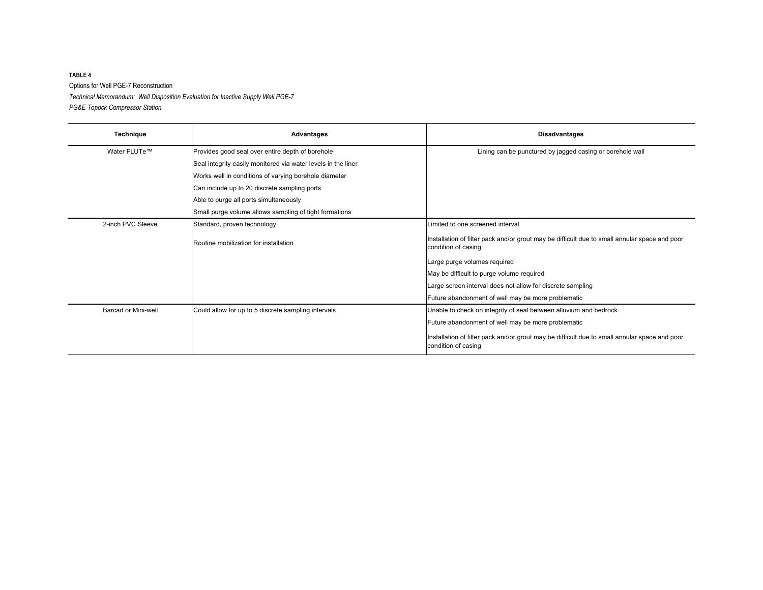#### **TABLE 4** Options for Well PGE-7 Reconstruction *Technical Memorandum: Well Disposition Evaluation for Inactive Supply Well PGE-7 PG&E Topock Compressor Station*

| Technique           | <b>Advantages</b>                                             | <b>Disadvantages</b>                                                                                                 |
|---------------------|---------------------------------------------------------------|----------------------------------------------------------------------------------------------------------------------|
| Water FLUTe™        | Provides good seal over entire depth of borehole              | Lining can be punctured by jagged casing or borehole wall                                                            |
|                     | Seal integrity easily monitored via water levels in the liner |                                                                                                                      |
|                     | Works well in conditions of varying borehole diameter         |                                                                                                                      |
|                     | Can include up to 20 discrete sampling ports                  |                                                                                                                      |
|                     | Able to purge all ports simultaneously                        |                                                                                                                      |
|                     | Small purge volume allows sampling of tight formations        |                                                                                                                      |
| 2-inch PVC Sleeve   | Standard, proven technology                                   | Limited to one screened interval                                                                                     |
|                     | Routine mobilization for installation                         | Installation of filter pack and/or grout may be difficult due to small annular space and poor<br>condition of casing |
|                     |                                                               | Large purge volumes required                                                                                         |
|                     |                                                               | May be difficult to purge volume required                                                                            |
|                     |                                                               | Large screen interval does not allow for discrete sampling                                                           |
|                     |                                                               | Future abandonment of well may be more problematic                                                                   |
| Barcad or Mini-well | Could allow for up to 5 discrete sampling intervals           | Unable to check on integrity of seal between alluvium and bedrock                                                    |
|                     |                                                               | Future abandonment of well may be more problematic                                                                   |
|                     |                                                               | Installation of filter pack and/or grout may be difficult due to small annular space and poor<br>condition of casing |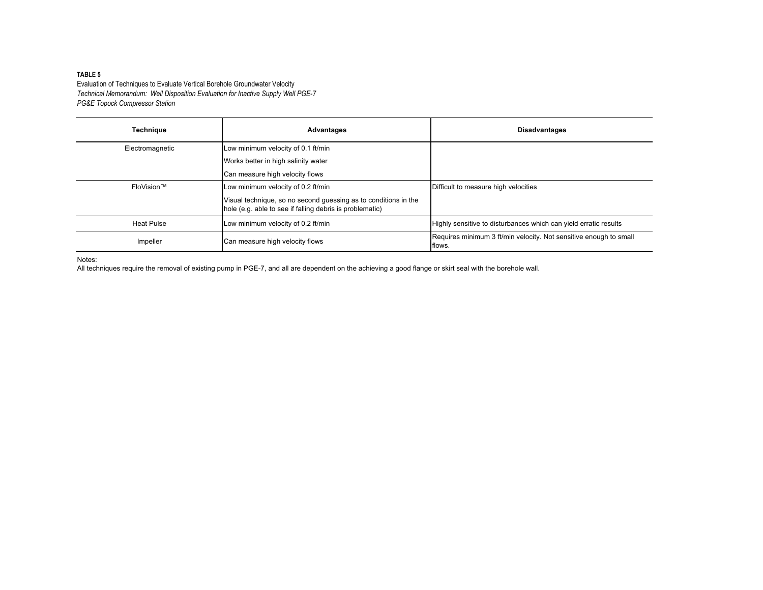#### **TABLE 5**

Evaluation of Techniques to Evaluate Vertical Borehole Groundwater Velocity *Technical Memorandum: Well Disposition Evaluation for Inactive Supply Well PGE-7 PG&E Topock Compressor Station*

| <b>Technique</b>  | Advantages                                                                                                                  | <b>Disadvantages</b>                                                        |
|-------------------|-----------------------------------------------------------------------------------------------------------------------------|-----------------------------------------------------------------------------|
| Electromagnetic   | Low minimum velocity of 0.1 ft/min                                                                                          |                                                                             |
|                   | Works better in high salinity water                                                                                         |                                                                             |
|                   | Can measure high velocity flows                                                                                             |                                                                             |
| FloVision™        | Low minimum velocity of 0.2 ft/min                                                                                          | Difficult to measure high velocities                                        |
|                   | Visual technique, so no second guessing as to conditions in the<br>hole (e.g. able to see if falling debris is problematic) |                                                                             |
| <b>Heat Pulse</b> | Low minimum velocity of 0.2 ft/min                                                                                          | Highly sensitive to disturbances which can yield erratic results            |
| Impeller          | Can measure high velocity flows                                                                                             | Requires minimum 3 ft/min velocity. Not sensitive enough to small<br>flows. |

Notes:

All techniques require the removal of existing pump in PGE-7, and all are dependent on the achieving a good flange or skirt seal with the borehole wall.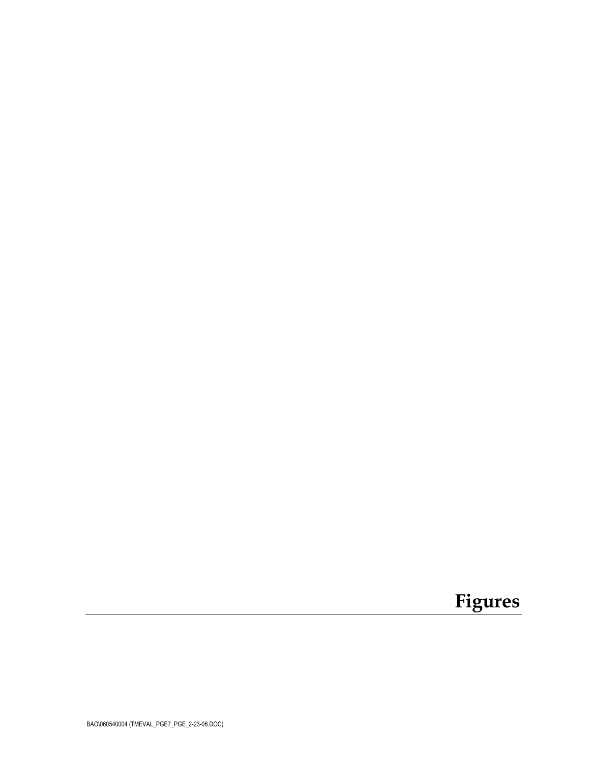# **Figures**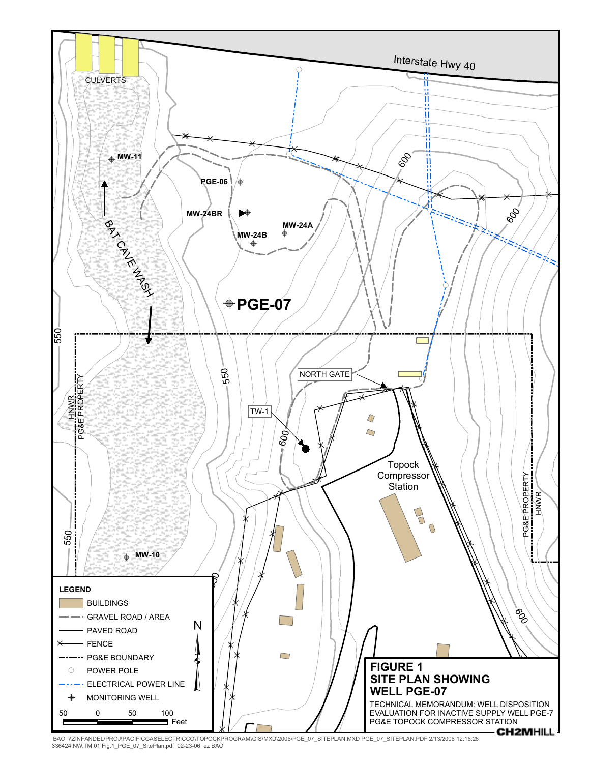

BAO \\ZINFANDEL\PROJ\PACIFICGASELECTRICCO\TOPOCKPROGRAM\GIS\MXD\2006\PGE\_07\_SITEPLAN.MXD PGE\_07\_SITEPLAN.PDF 2/13/2006 12:16:26<br>336424.NW.TM.01 Fig.1\_PGE\_07\_SitePlan.pdf 02-23-06 ez BAO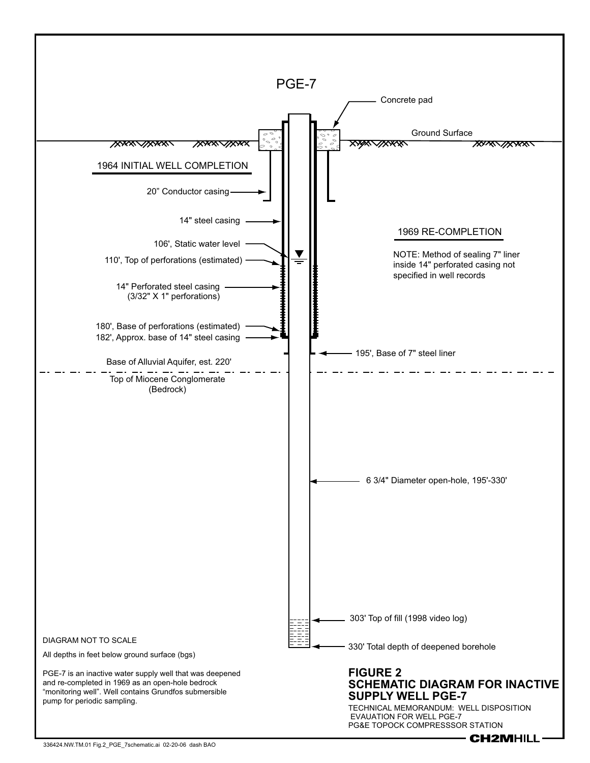